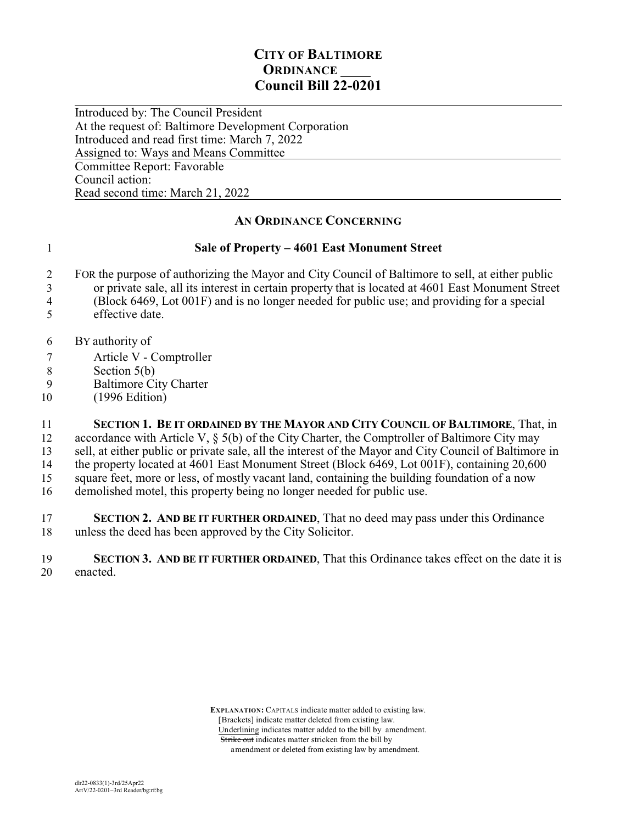## **CITY OF BALTIMORE ORDINANCE Council Bill 22-0201**

 $\overline{a}$ Introduced by: The Council President At the request of: Baltimore Development Corporation Introduced and read first time: March 7, 2022 Assigned to: Ways and Means Committee Committee Report: Favorable Council action: Read second time: March 21, 2022

## **AN ORDINANCE CONCERNING**

## 1 **Sale of Property – 4601 East Monument Street**

- 2 FOR the purpose of authorizing the Mayor and City Council of Baltimore to sell, at either public
- 3 or private sale, all its interest in certain property that is located at 4601 East Monument Street
- 4 (Block 6469, Lot 001F) and is no longer needed for public use; and providing for a special 5 effective date.
- 
- 6 BY authority of
- 7 Article V Comptroller
- 8 Section 5(b)<br>9 Baltimore Ci
- Baltimore City Charter
- 10 (1996 Edition)

 **SECTION 1. BE IT ORDAINED BY THE MAYOR AND CITY COUNCIL OF BALTIMORE**, That, in accordance with Article V, § 5(b) of the City Charter, the Comptroller of Baltimore City may sell, at either public or private sale, all the interest of the Mayor and City Council of Baltimore in 14 the property located at 4601 East Monument Street (Block 6469, Lot 001F), containing 20,600 square feet, more or less, of mostly vacant land, containing the building foundation of a now demolished motel, this property being no longer needed for public use.

17 **SECTION 2. AND BE IT FURTHER ORDAINED**, That no deed may pass under this Ordinance unless the deed has been approved by the City Solicitor.

19 **SECTION 3. AND BE IT FURTHER ORDAINED**, That this Ordinance takes effect on the date it is 20 enacted.

> **EXPLANATION:** CAPITALS indicate matter added to existing law. [Brackets] indicate matter deleted from existing law. Underlining indicates matter added to the bill by amendment. Strike out indicates matter stricken from the bill by amendment or deleted from existing law by amendment.